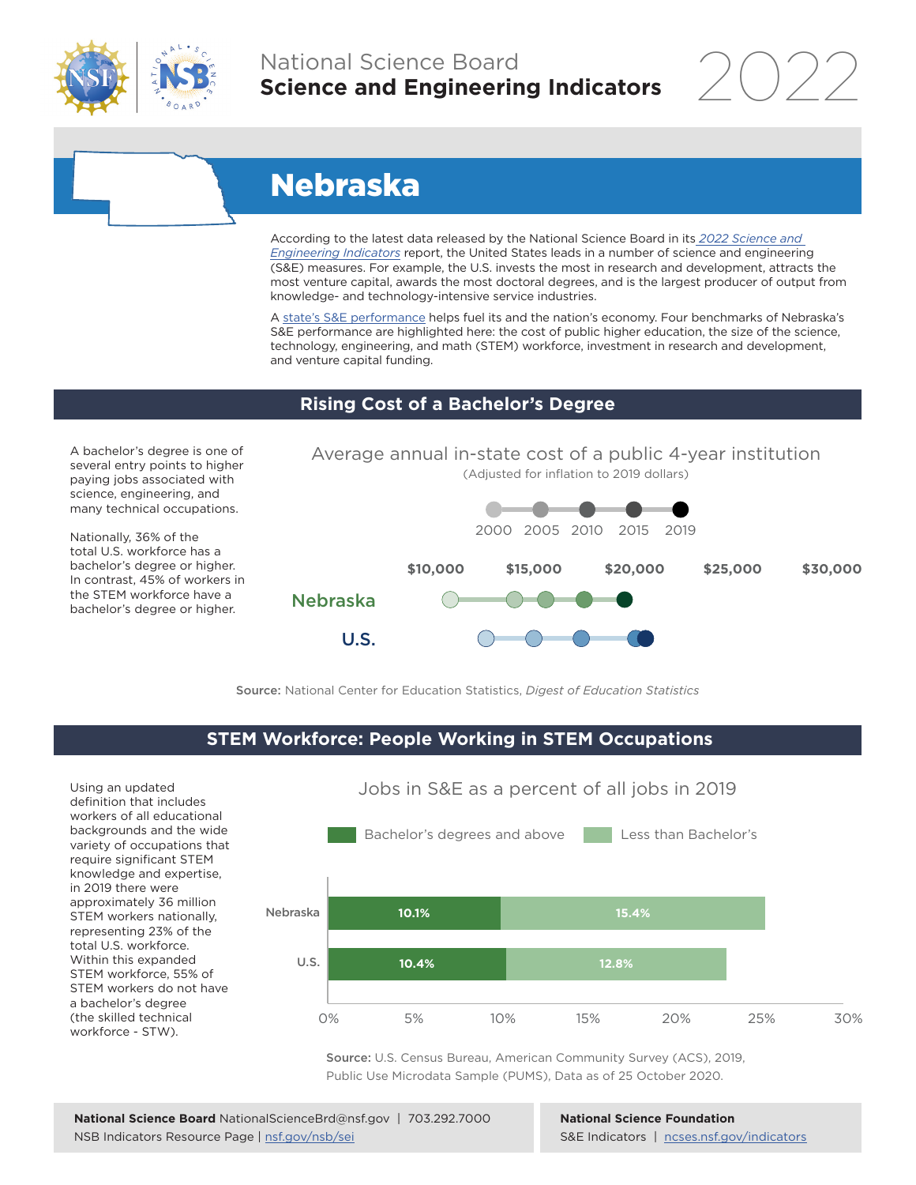

## National Science Board **Science and Engineering Indicators**

2022

# Nebraska

According to the latest data released by the National Science Board in its *2022 Science and Engineering Indicators* report, the United States leads in a number of science and engineering (S&E) measures. For example, the U.S. invests the most in research and development, attracts the most venture capital, awards the most doctoral degrees, and is the largest producer of output from knowledge- and technology-intensive service industries.

A state's S&E performance helps fuel its and the nation's economy. Four benchmarks of Nebraska's S&E performance are highlighted here: the cost of public higher education, the size of the science, technology, engineering, and math (STEM) workforce, investment in research and development, and venture capital funding.

#### **Rising Cost of a Bachelor's Degree**

A bachelor's degree is one of several entry points to higher paying jobs associated with science, engineering, and many technical occupations.

Nationally, 36% of the total U.S. workforce has a bachelor's degree or higher. In contrast, 45% of workers in the STEM workforce have a bachelor's degree or higher.



Source: National Center for Education Statistics, *Digest of Education Statistics*

#### **STEM Workforce: People Working in STEM Occupations**

Using an updated definition that includes workers of all educational backgrounds and the wide variety of occupations that require significant STEM knowledge and expertise, in 2019 there were approximately 36 million STEM workers nationally, representing 23% of the total U.S. workforce. Within this expanded STEM workforce, 55% of STEM workers do not have a bachelor's degree (the skilled technical workforce - STW).



Jobs in S&E as a percent of all jobs in 2019

Source: U.S. Census Bureau, American Community Survey (ACS), 2019, Public Use Microdata Sample (PUMS), Data as of 25 October 2020.

**National Science Foundation** S&E Indicators | ncses.nsf.gov/indicators